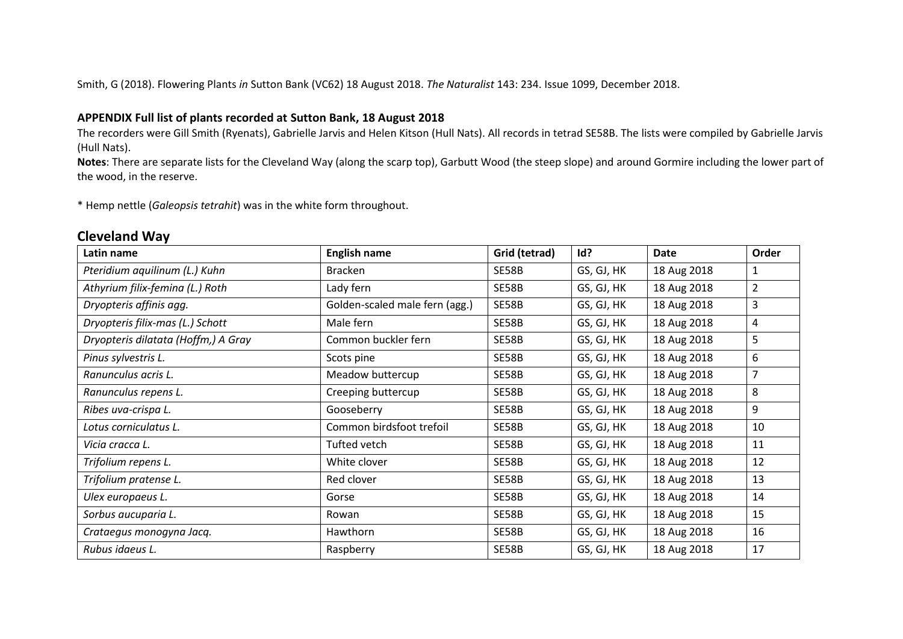Smith, G (2018). Flowering Plants *in* Sutton Bank (VC62) 18 August 2018. *The Naturalist* 143: 234. Issue 1099, December 2018.

## **APPENDIX Full list of plants recorded at Sutton Bank, 18 August 2018**

The recorders were Gill Smith (Ryenats), Gabrielle Jarvis and Helen Kitson (Hull Nats). All records in tetrad SE58B. The lists were compiled by Gabrielle Jarvis (Hull Nats).

**Notes**: There are separate lists for the Cleveland Way (along the scarp top), Garbutt Wood (the steep slope) and around Gormire including the lower part of the wood, in the reserve.

\* Hemp nettle (*Galeopsis tetrahit*) was in the white form throughout.

## **Cleveland Way**

| Latin name                          | <b>English name</b>            | Grid (tetrad) | Id?        | <b>Date</b> | Order |
|-------------------------------------|--------------------------------|---------------|------------|-------------|-------|
| Pteridium aquilinum (L.) Kuhn       | <b>Bracken</b>                 | SE58B         | GS, GJ, HK | 18 Aug 2018 | 1     |
| Athyrium filix-femina (L.) Roth     | Lady fern                      | SE58B         | GS, GJ, HK | 18 Aug 2018 | 2     |
| Dryopteris affinis agg.             | Golden-scaled male fern (agg.) | SE58B         | GS, GJ, HK | 18 Aug 2018 | 3     |
| Dryopteris filix-mas (L.) Schott    | Male fern                      | SE58B         | GS, GJ, HK | 18 Aug 2018 | 4     |
| Dryopteris dilatata (Hoffm,) A Gray | Common buckler fern            | SE58B         | GS, GJ, HK | 18 Aug 2018 | 5     |
| Pinus sylvestris L.                 | Scots pine                     | SE58B         | GS, GJ, HK | 18 Aug 2018 | 6     |
| Ranunculus acris L.                 | Meadow buttercup               | SE58B         | GS, GJ, HK | 18 Aug 2018 | 7     |
| Ranunculus repens L.                | Creeping buttercup             | SE58B         | GS, GJ, HK | 18 Aug 2018 | 8     |
| Ribes uva-crispa L.                 | Gooseberry                     | SE58B         | GS, GJ, HK | 18 Aug 2018 | 9     |
| Lotus corniculatus L.               | Common birdsfoot trefoil       | SE58B         | GS, GJ, HK | 18 Aug 2018 | 10    |
| Vicia cracca L.                     | Tufted vetch                   | SE58B         | GS, GJ, HK | 18 Aug 2018 | 11    |
| Trifolium repens L.                 | White clover                   | SE58B         | GS, GJ, HK | 18 Aug 2018 | 12    |
| Trifolium pratense L.               | Red clover                     | SE58B         | GS, GJ, HK | 18 Aug 2018 | 13    |
| Ulex europaeus L.                   | Gorse                          | SE58B         | GS, GJ, HK | 18 Aug 2018 | 14    |
| Sorbus aucuparia L.                 | Rowan                          | SE58B         | GS, GJ, HK | 18 Aug 2018 | 15    |
| Crataegus monogyna Jacq.            | Hawthorn                       | SE58B         | GS, GJ, HK | 18 Aug 2018 | 16    |
| Rubus idaeus L.                     | Raspberry                      | SE58B         | GS, GJ, HK | 18 Aug 2018 | 17    |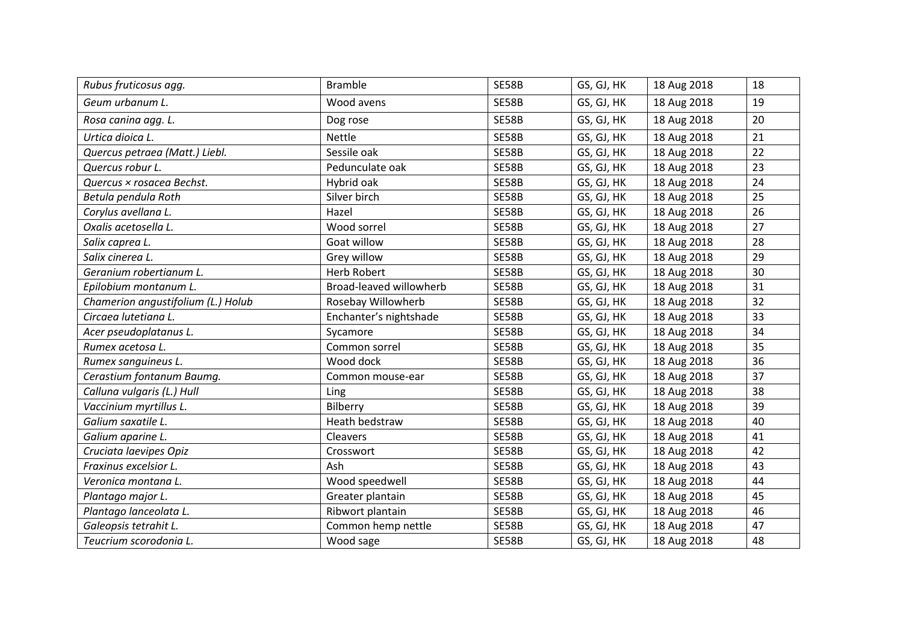| Rubus fruticosus agg.              | <b>Bramble</b>          | SE58B        | GS, GJ, HK | 18 Aug 2018 | 18 |
|------------------------------------|-------------------------|--------------|------------|-------------|----|
| Geum urbanum L.                    | Wood avens              | <b>SE58B</b> | GS, GJ, HK | 18 Aug 2018 | 19 |
| Rosa canina agg. L.                | Dog rose                | <b>SE58B</b> | GS, GJ, HK | 18 Aug 2018 | 20 |
| Urtica dioica L.                   | Nettle                  | <b>SE58B</b> | GS, GJ, HK | 18 Aug 2018 | 21 |
| Quercus petraea (Matt.) Liebl.     | Sessile oak             | <b>SE58B</b> | GS, GJ, HK | 18 Aug 2018 | 22 |
| Quercus robur L.                   | Pedunculate oak         | <b>SE58B</b> | GS, GJ, HK | 18 Aug 2018 | 23 |
| Quercus × rosacea Bechst.          | Hybrid oak              | <b>SE58B</b> | GS, GJ, HK | 18 Aug 2018 | 24 |
| Betula pendula Roth                | Silver birch            | <b>SE58B</b> | GS, GJ, HK | 18 Aug 2018 | 25 |
| Corylus avellana L.                | Hazel                   | SE58B        | GS, GJ, HK | 18 Aug 2018 | 26 |
| Oxalis acetosella L.               | Wood sorrel             | <b>SE58B</b> | GS, GJ, HK | 18 Aug 2018 | 27 |
| Salix caprea L.                    | Goat willow             | <b>SE58B</b> | GS, GJ, HK | 18 Aug 2018 | 28 |
| Salix cinerea L.                   | Grey willow             | <b>SE58B</b> | GS, GJ, HK | 18 Aug 2018 | 29 |
| Geranium robertianum L.            | <b>Herb Robert</b>      | SE58B        | GS, GJ, HK | 18 Aug 2018 | 30 |
| Epilobium montanum L.              | Broad-leaved willowherb | <b>SE58B</b> | GS, GJ, HK | 18 Aug 2018 | 31 |
| Chamerion angustifolium (L.) Holub | Rosebay Willowherb      | <b>SE58B</b> | GS, GJ, HK | 18 Aug 2018 | 32 |
| Circaea lutetiana L.               | Enchanter's nightshade  | <b>SE58B</b> | GS, GJ, HK | 18 Aug 2018 | 33 |
| Acer pseudoplatanus L.             | Sycamore                | <b>SE58B</b> | GS, GJ, HK | 18 Aug 2018 | 34 |
| Rumex acetosa L.                   | Common sorrel           | SE58B        | GS, GJ, HK | 18 Aug 2018 | 35 |
| Rumex sanguineus L.                | Wood dock               | SE58B        | GS, GJ, HK | 18 Aug 2018 | 36 |
| Cerastium fontanum Baumq.          | Common mouse-ear        | <b>SE58B</b> | GS, GJ, HK | 18 Aug 2018 | 37 |
| Calluna vulgaris (L.) Hull         | Ling                    | SE58B        | GS, GJ, HK | 18 Aug 2018 | 38 |
| Vaccinium myrtillus L.             | Bilberry                | SE58B        | GS, GJ, HK | 18 Aug 2018 | 39 |
| Galium saxatile L.                 | Heath bedstraw          | <b>SE58B</b> | GS, GJ, HK | 18 Aug 2018 | 40 |
| Galium aparine L.                  | Cleavers                | <b>SE58B</b> | GS, GJ, HK | 18 Aug 2018 | 41 |
| Cruciata laevipes Opiz             | Crosswort               | <b>SE58B</b> | GS, GJ, HK | 18 Aug 2018 | 42 |
| Fraxinus excelsior L.              | Ash                     | SE58B        | GS, GJ, HK | 18 Aug 2018 | 43 |
| Veronica montana L.                | Wood speedwell          | SE58B        | GS, GJ, HK | 18 Aug 2018 | 44 |
| Plantago major L.                  | Greater plantain        | <b>SE58B</b> | GS, GJ, HK | 18 Aug 2018 | 45 |
| Plantago lanceolata L.             | Ribwort plantain        | <b>SE58B</b> | GS, GJ, HK | 18 Aug 2018 | 46 |
| Galeopsis tetrahit L.              | Common hemp nettle      | SE58B        | GS, GJ, HK | 18 Aug 2018 | 47 |
| Teucrium scorodonia L.             | Wood sage               | <b>SE58B</b> | GS, GJ, HK | 18 Aug 2018 | 48 |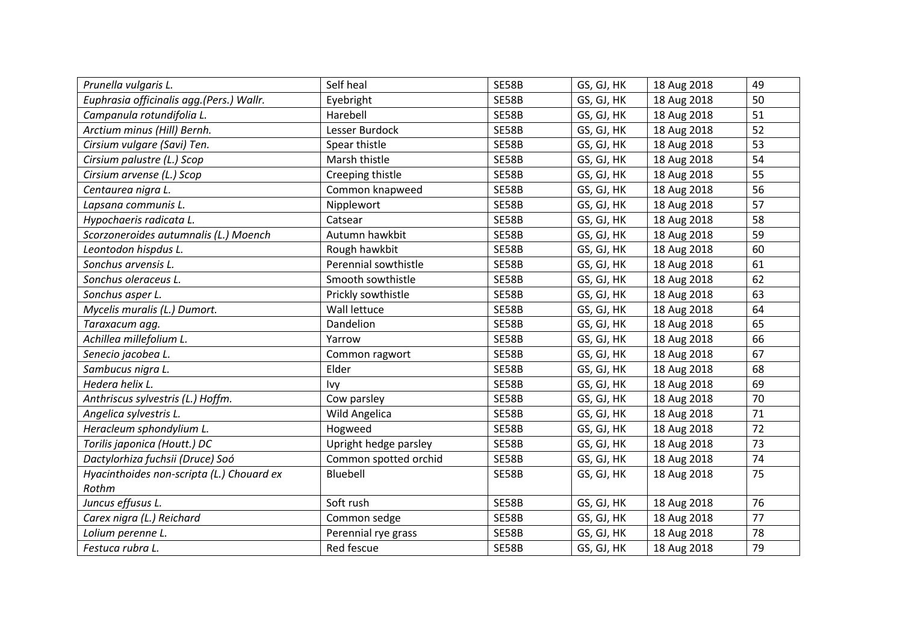| Prunella vulgaris L.                      | Self heal             | <b>SE58B</b> | GS, GJ, HK | 18 Aug 2018 | 49 |
|-------------------------------------------|-----------------------|--------------|------------|-------------|----|
| Euphrasia officinalis agg.(Pers.) Wallr.  | Eyebright             | <b>SE58B</b> | GS, GJ, HK | 18 Aug 2018 | 50 |
| Campanula rotundifolia L.                 | Harebell              | SE58B        | GS, GJ, HK | 18 Aug 2018 | 51 |
| Arctium minus (Hill) Bernh.               | Lesser Burdock        | <b>SE58B</b> | GS, GJ, HK | 18 Aug 2018 | 52 |
| Cirsium vulgare (Savi) Ten.               | Spear thistle         | <b>SE58B</b> | GS, GJ, HK | 18 Aug 2018 | 53 |
| Cirsium palustre (L.) Scop                | Marsh thistle         | SE58B        | GS, GJ, HK | 18 Aug 2018 | 54 |
| Cirsium arvense (L.) Scop                 | Creeping thistle      | SE58B        | GS, GJ, HK | 18 Aug 2018 | 55 |
| Centaurea nigra L.                        | Common knapweed       | <b>SE58B</b> | GS, GJ, HK | 18 Aug 2018 | 56 |
| Lapsana communis L.                       | Nipplewort            | SE58B        | GS, GJ, HK | 18 Aug 2018 | 57 |
| Hypochaeris radicata L.                   | Catsear               | SE58B        | GS, GJ, HK | 18 Aug 2018 | 58 |
| Scorzoneroides autumnalis (L.) Moench     | Autumn hawkbit        | <b>SE58B</b> | GS, GJ, HK | 18 Aug 2018 | 59 |
| Leontodon hispdus L.                      | Rough hawkbit         | SE58B        | GS, GJ, HK | 18 Aug 2018 | 60 |
| Sonchus arvensis L.                       | Perennial sowthistle  | SE58B        | GS, GJ, HK | 18 Aug 2018 | 61 |
| Sonchus oleraceus L.                      | Smooth sowthistle     | <b>SE58B</b> | GS, GJ, HK | 18 Aug 2018 | 62 |
| Sonchus asper L.                          | Prickly sowthistle    | SE58B        | GS, GJ, HK | 18 Aug 2018 | 63 |
| Mycelis muralis (L.) Dumort.              | Wall lettuce          | SE58B        | GS, GJ, HK | 18 Aug 2018 | 64 |
| Taraxacum agg.                            | Dandelion             | <b>SE58B</b> | GS, GJ, HK | 18 Aug 2018 | 65 |
| Achillea millefolium L.                   | Yarrow                | SE58B        | GS, GJ, HK | 18 Aug 2018 | 66 |
| Senecio jacobea L.                        | Common ragwort        | SE58B        | GS, GJ, HK | 18 Aug 2018 | 67 |
| Sambucus nigra L.                         | Elder                 | <b>SE58B</b> | GS, GJ, HK | 18 Aug 2018 | 68 |
| Hedera helix L.                           | Ivy                   | SE58B        | GS, GJ, HK | 18 Aug 2018 | 69 |
| Anthriscus sylvestris (L.) Hoffm.         | Cow parsley           | SE58B        | GS, GJ, HK | 18 Aug 2018 | 70 |
| Angelica sylvestris L.                    | Wild Angelica         | <b>SE58B</b> | GS, GJ, HK | 18 Aug 2018 | 71 |
| Heracleum sphondylium L.                  | Hogweed               | <b>SE58B</b> | GS, GJ, HK | 18 Aug 2018 | 72 |
| Torilis japonica (Houtt.) DC              | Upright hedge parsley | SE58B        | GS, GJ, HK | 18 Aug 2018 | 73 |
| Dactylorhiza fuchsii (Druce) Soó          | Common spotted orchid | <b>SE58B</b> | GS, GJ, HK | 18 Aug 2018 | 74 |
| Hyacinthoides non-scripta (L.) Chouard ex | Bluebell              | <b>SE58B</b> | GS, GJ, HK | 18 Aug 2018 | 75 |
| Rothm                                     |                       |              |            |             |    |
| Juncus effusus L.                         | Soft rush             | <b>SE58B</b> | GS, GJ, HK | 18 Aug 2018 | 76 |
| Carex nigra (L.) Reichard                 | Common sedge          | <b>SE58B</b> | GS, GJ, HK | 18 Aug 2018 | 77 |
| Lolium perenne L.                         | Perennial rye grass   | SE58B        | GS, GJ, HK | 18 Aug 2018 | 78 |
| Festuca rubra L.                          | Red fescue            | SE58B        | GS, GJ, HK | 18 Aug 2018 | 79 |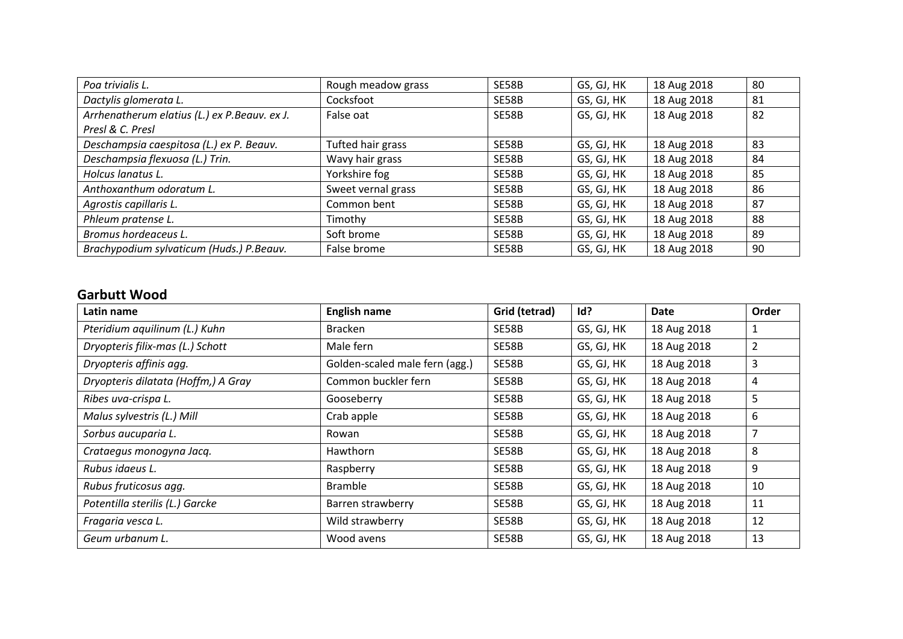| Poa trivialis L.                             | Rough meadow grass | SE58B | GS, GJ, HK | 18 Aug 2018 | 80 |
|----------------------------------------------|--------------------|-------|------------|-------------|----|
| Dactylis glomerata L.                        | Cocksfoot          | SE58B | GS, GJ, HK | 18 Aug 2018 | 81 |
| Arrhenatherum elatius (L.) ex P.Beauv. ex J. | False oat          | SE58B | GS, GJ, HK | 18 Aug 2018 | 82 |
| Presl & C. Presl                             |                    |       |            |             |    |
| Deschampsia caespitosa (L.) ex P. Beauv.     | Tufted hair grass  | SE58B | GS, GJ, HK | 18 Aug 2018 | 83 |
| Deschampsia flexuosa (L.) Trin.              | Wavy hair grass    | SE58B | GS, GJ, HK | 18 Aug 2018 | 84 |
| Holcus lanatus L.                            | Yorkshire fog      | SE58B | GS, GJ, HK | 18 Aug 2018 | 85 |
| Anthoxanthum odoratum L.                     | Sweet vernal grass | SE58B | GS, GJ, HK | 18 Aug 2018 | 86 |
| Agrostis capillaris L.                       | Common bent        | SE58B | GS, GJ, HK | 18 Aug 2018 | 87 |
| Phleum pratense L.                           | Timothy            | SE58B | GS, GJ, HK | 18 Aug 2018 | 88 |
| Bromus hordeaceus L.                         | Soft brome         | SE58B | GS, GJ, HK | 18 Aug 2018 | 89 |
| Brachypodium sylvaticum (Huds.) P.Beauv.     | False brome        | SE58B | GS, GJ, HK | 18 Aug 2018 | 90 |

## **Garbutt Wood**

| Latin name                          | <b>English name</b>            | Grid (tetrad) | Id?        | <b>Date</b> | Order          |
|-------------------------------------|--------------------------------|---------------|------------|-------------|----------------|
| Pteridium aquilinum (L.) Kuhn       | <b>Bracken</b>                 | SE58B         | GS, GJ, HK | 18 Aug 2018 | 1              |
| Dryopteris filix-mas (L.) Schott    | Male fern                      | SE58B         | GS, GJ, HK | 18 Aug 2018 | $\overline{2}$ |
| Dryopteris affinis agg.             | Golden-scaled male fern (agg.) | SE58B         | GS, GJ, HK | 18 Aug 2018 | 3              |
| Dryopteris dilatata (Hoffm,) A Gray | Common buckler fern            | SE58B         | GS, GJ, HK | 18 Aug 2018 | 4              |
| Ribes uva-crispa L.                 | Gooseberry                     | SE58B         | GS, GJ, HK | 18 Aug 2018 | 5              |
| Malus sylvestris (L.) Mill          | Crab apple                     | SE58B         | GS, GJ, HK | 18 Aug 2018 | 6              |
| Sorbus aucuparia L.                 | Rowan                          | SE58B         | GS, GJ, HK | 18 Aug 2018 | 7              |
| Crataegus monogyna Jacq.            | <b>Hawthorn</b>                | SE58B         | GS, GJ, HK | 18 Aug 2018 | 8              |
| Rubus idaeus L.                     | Raspberry                      | SE58B         | GS, GJ, HK | 18 Aug 2018 | 9              |
| Rubus fruticosus agg.               | <b>Bramble</b>                 | SE58B         | GS, GJ, HK | 18 Aug 2018 | 10             |
| Potentilla sterilis (L.) Garcke     | Barren strawberry              | SE58B         | GS, GJ, HK | 18 Aug 2018 | 11             |
| Fragaria vesca L.                   | Wild strawberry                | SE58B         | GS, GJ, HK | 18 Aug 2018 | 12             |
| Geum urbanum L.                     | Wood avens                     | SE58B         | GS, GJ, HK | 18 Aug 2018 | 13             |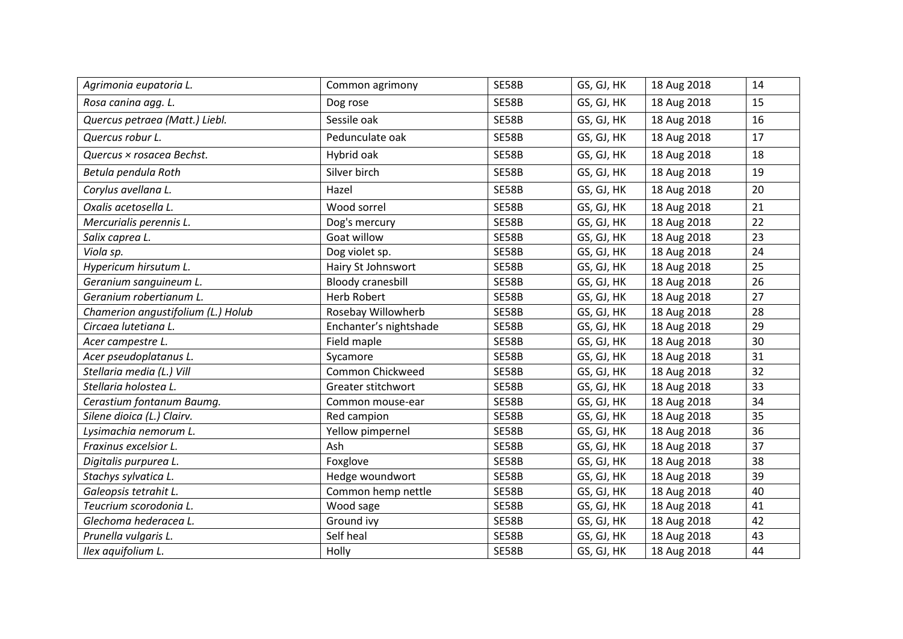| Agrimonia eupatoria L.             | Common agrimony          | SE58B        | GS, GJ, HK | 18 Aug 2018 | 14 |
|------------------------------------|--------------------------|--------------|------------|-------------|----|
| Rosa canina agg. L.                | Dog rose                 | SE58B        | GS, GJ, HK | 18 Aug 2018 | 15 |
| Quercus petraea (Matt.) Liebl.     | Sessile oak              | SE58B        | GS, GJ, HK | 18 Aug 2018 | 16 |
| Quercus robur L.                   | Pedunculate oak          | SE58B        | GS, GJ, HK | 18 Aug 2018 | 17 |
| Quercus × rosacea Bechst.          | Hybrid oak               | SE58B        | GS, GJ, HK | 18 Aug 2018 | 18 |
| Betula pendula Roth                | Silver birch             | SE58B        | GS, GJ, HK | 18 Aug 2018 | 19 |
| Corylus avellana L.                | Hazel                    | <b>SE58B</b> | GS, GJ, HK | 18 Aug 2018 | 20 |
| Oxalis acetosella L.               | Wood sorrel              | <b>SE58B</b> | GS, GJ, HK | 18 Aug 2018 | 21 |
| Mercurialis perennis L.            | Dog's mercury            | SE58B        | GS, GJ, HK | 18 Aug 2018 | 22 |
| Salix caprea L.                    | Goat willow              | SE58B        | GS, GJ, HK | 18 Aug 2018 | 23 |
| Viola sp.                          | Dog violet sp.           | SE58B        | GS, GJ, HK | 18 Aug 2018 | 24 |
| Hypericum hirsutum L.              | Hairy St Johnswort       | SE58B        | GS, GJ, HK | 18 Aug 2018 | 25 |
| Geranium sanguineum L.             | <b>Bloody cranesbill</b> | SE58B        | GS, GJ, HK | 18 Aug 2018 | 26 |
| Geranium robertianum L.            | <b>Herb Robert</b>       | SE58B        | GS, GJ, HK | 18 Aug 2018 | 27 |
| Chamerion angustifolium (L.) Holub | Rosebay Willowherb       | SE58B        | GS, GJ, HK | 18 Aug 2018 | 28 |
| Circaea lutetiana L.               | Enchanter's nightshade   | <b>SE58B</b> | GS, GJ, HK | 18 Aug 2018 | 29 |
| Acer campestre L.                  | Field maple              | SE58B        | GS, GJ, HK | 18 Aug 2018 | 30 |
| Acer pseudoplatanus L.             | Sycamore                 | SE58B        | GS, GJ, HK | 18 Aug 2018 | 31 |
| Stellaria media (L.) Vill          | Common Chickweed         | SE58B        | GS, GJ, HK | 18 Aug 2018 | 32 |
| Stellaria holostea L.              | Greater stitchwort       | SE58B        | GS, GJ, HK | 18 Aug 2018 | 33 |
| Cerastium fontanum Baumg.          | Common mouse-ear         | SE58B        | GS, GJ, HK | 18 Aug 2018 | 34 |
| Silene dioica (L.) Clairv.         | Red campion              | SE58B        | GS, GJ, HK | 18 Aug 2018 | 35 |
| Lysimachia nemorum L.              | Yellow pimpernel         | SE58B        | GS, GJ, HK | 18 Aug 2018 | 36 |
| Fraxinus excelsior L.              | Ash                      | SE58B        | GS, GJ, HK | 18 Aug 2018 | 37 |
| Digitalis purpurea L.              | Foxglove                 | <b>SE58B</b> | GS, GJ, HK | 18 Aug 2018 | 38 |
| Stachys sylvatica L.               | Hedge woundwort          | SE58B        | GS, GJ, HK | 18 Aug 2018 | 39 |
| Galeopsis tetrahit L.              | Common hemp nettle       | <b>SE58B</b> | GS, GJ, HK | 18 Aug 2018 | 40 |
| Teucrium scorodonia L.             | Wood sage                | SE58B        | GS, GJ, HK | 18 Aug 2018 | 41 |
| Glechoma hederacea L.              | Ground ivy               | SE58B        | GS, GJ, HK | 18 Aug 2018 | 42 |
| Prunella vulgaris L.               | Self heal                | SE58B        | GS, GJ, HK | 18 Aug 2018 | 43 |
| Ilex aquifolium L.                 | Holly                    | SE58B        | GS, GJ, HK | 18 Aug 2018 | 44 |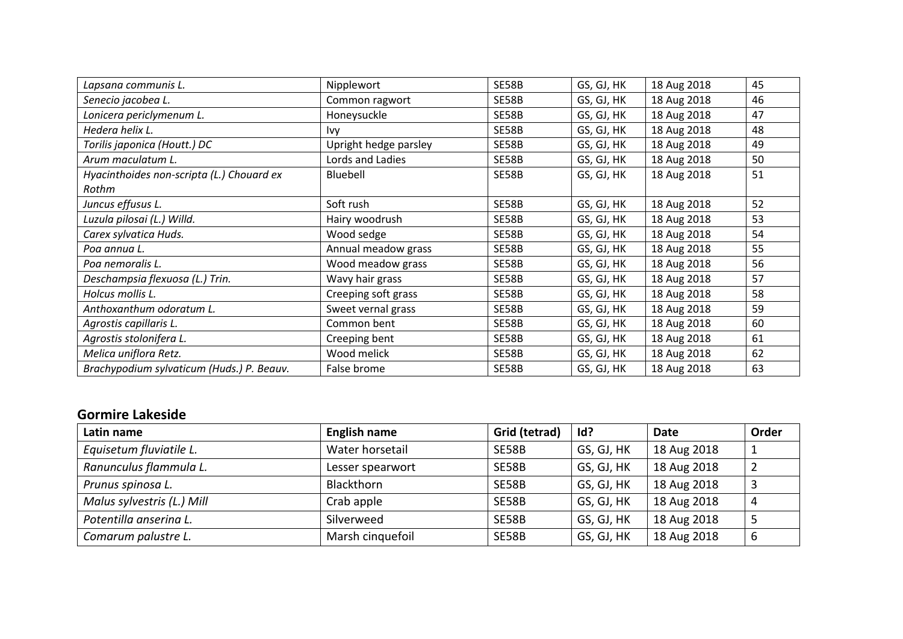| Lapsana communis L.                       | Nipplewort            | SE58B        | GS, GJ, HK | 18 Aug 2018 | 45 |
|-------------------------------------------|-----------------------|--------------|------------|-------------|----|
| Senecio jacobea L.                        | Common ragwort        | SE58B        | GS, GJ, HK | 18 Aug 2018 | 46 |
| Lonicera periclymenum L.                  | Honeysuckle           | SE58B        | GS, GJ, HK | 18 Aug 2018 | 47 |
| Hedera helix L.                           | Ivy                   | SE58B        | GS, GJ, HK | 18 Aug 2018 | 48 |
| Torilis japonica (Houtt.) DC              | Upright hedge parsley | SE58B        | GS, GJ, HK | 18 Aug 2018 | 49 |
| Arum maculatum L.                         | Lords and Ladies      | SE58B        | GS, GJ, HK | 18 Aug 2018 | 50 |
| Hyacinthoides non-scripta (L.) Chouard ex | Bluebell              | SE58B        | GS, GJ, HK | 18 Aug 2018 | 51 |
| Rothm                                     |                       |              |            |             |    |
| Juncus effusus L.                         | Soft rush             | <b>SE58B</b> | GS, GJ, HK | 18 Aug 2018 | 52 |
| Luzula pilosai (L.) Willd.                | Hairy woodrush        | SE58B        | GS, GJ, HK | 18 Aug 2018 | 53 |
| Carex sylvatica Huds.                     | Wood sedge            | SE58B        | GS, GJ, HK | 18 Aug 2018 | 54 |
| Poa annua L.                              | Annual meadow grass   | <b>SE58B</b> | GS, GJ, HK | 18 Aug 2018 | 55 |
| Poa nemoralis L.                          | Wood meadow grass     | SE58B        | GS, GJ, HK | 18 Aug 2018 | 56 |
| Deschampsia flexuosa (L.) Trin.           | Wavy hair grass       | SE58B        | GS, GJ, HK | 18 Aug 2018 | 57 |
| Holcus mollis L.                          | Creeping soft grass   | SE58B        | GS, GJ, HK | 18 Aug 2018 | 58 |
| Anthoxanthum odoratum L.                  | Sweet vernal grass    | SE58B        | GS, GJ, HK | 18 Aug 2018 | 59 |
| Agrostis capillaris L.                    | Common bent           | SE58B        | GS, GJ, HK | 18 Aug 2018 | 60 |
| Agrostis stolonifera L.                   | Creeping bent         | SE58B        | GS, GJ, HK | 18 Aug 2018 | 61 |
| Melica uniflora Retz.                     | Wood melick           | SE58B        | GS, GJ, HK | 18 Aug 2018 | 62 |
| Brachypodium sylvaticum (Huds.) P. Beauv. | False brome           | <b>SE58B</b> | GS, GJ, HK | 18 Aug 2018 | 63 |

## **Gormire Lakeside**

| Latin name                 | <b>English name</b> | Grid (tetrad) | Id?        | Date        | Order |
|----------------------------|---------------------|---------------|------------|-------------|-------|
| Equisetum fluviatile L.    | Water horsetail     | SE58B         | GS, GJ, HK | 18 Aug 2018 |       |
| Ranunculus flammula L.     | Lesser spearwort    | SE58B         | GS, GJ, HK | 18 Aug 2018 |       |
| Prunus spinosa L.          | <b>Blackthorn</b>   | SE58B         | GS, GJ, HK | 18 Aug 2018 |       |
| Malus sylvestris (L.) Mill | Crab apple          | SE58B         | GS, GJ, HK | 18 Aug 2018 | 4     |
| Potentilla anserina L.     | Silverweed          | SE58B         | GS, GJ, HK | 18 Aug 2018 |       |
| Comarum palustre L.        | Marsh cinquefoil    | SE58B         | GS, GJ, HK | 18 Aug 2018 | b     |